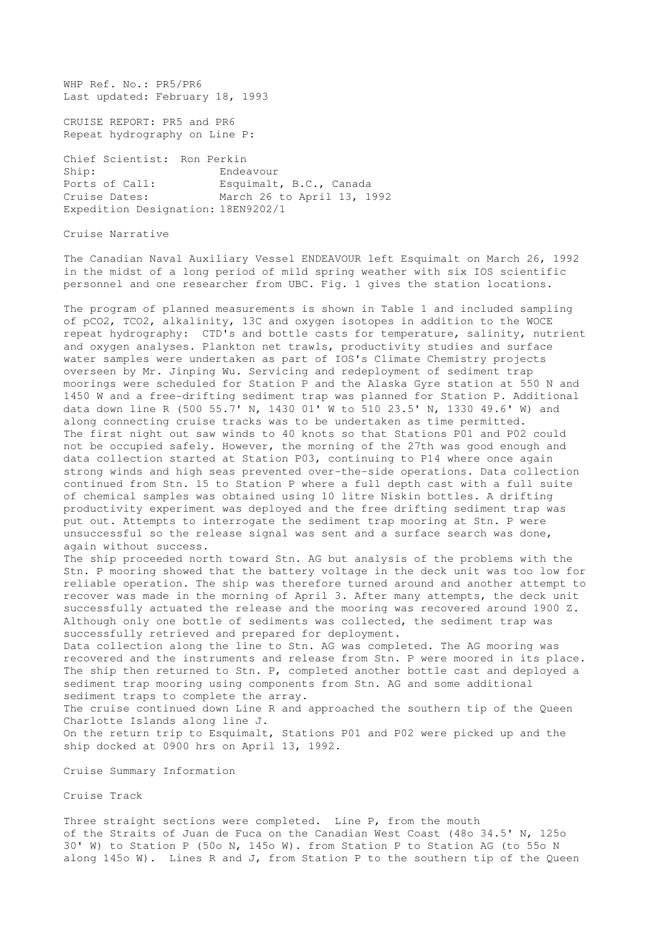WHP Ref. No.: PR5/PR6 Last updated: February 18, 1993

CRUISE REPORT: PR5 and PR6 Repeat hydrography on Line P:

Chief Scientist: Ron Perkin Ship: Endeavour Ports of Call: Esquimalt, B.C., Canada Cruise Dates: March 26 to April 13, 1992 Expedition Designation: 18EN9202/1

Cruise Narrative

The Canadian Naval Auxiliary Vessel ENDEAVOUR left Esquimalt on March 26, 1992 in the midst of a long period of mild spring weather with six IOS scientific personnel and one researcher from UBC. Fig. 1 gives the station locations.

The program of planned measurements is shown in Table 1 and included sampling of pCO2, TCO2, alkalinity, 13C and oxygen isotopes in addition to the WOCE repeat hydrography: CTD's and bottle casts for temperature, salinity, nutrient and oxygen analyses. Plankton net trawls, productivity studies and surface water samples were undertaken as part of IOS's Climate Chemistry projects overseen by Mr. Jinping Wu. Servicing and redeployment of sediment trap moorings were scheduled for Station P and the Alaska Gyre station at 550 N and 1450 W and a free-drifting sediment trap was planned for Station P. Additional data down line R (500 55.7' N, 1430 01' W to 510 23.5' N, 1330 49.6' W) and along connecting cruise tracks was to be undertaken as time permitted. The first night out saw winds to 40 knots so that Stations P01 and P02 could not be occupied safely. However, the morning of the 27th was good enough and data collection started at Station P03, continuing to P14 where once again strong winds and high seas prevented over-the-side operations. Data collection continued from Stn. 15 to Station P where a full depth cast with a full suite of chemical samples was obtained using 10 litre Niskin bottles. A drifting productivity experiment was deployed and the free drifting sediment trap was put out. Attempts to interrogate the sediment trap mooring at Stn. P were unsuccessful so the release signal was sent and a surface search was done, again without success.

The ship proceeded north toward Stn. AG but analysis of the problems with the Stn. P mooring showed that the battery voltage in the deck unit was too low for reliable operation. The ship was therefore turned around and another attempt to recover was made in the morning of April 3. After many attempts, the deck unit successfully actuated the release and the mooring was recovered around 1900 Z. Although only one bottle of sediments was collected, the sediment trap was successfully retrieved and prepared for deployment.

Data collection along the line to Stn. AG was completed. The AG mooring was recovered and the instruments and release from Stn. P were moored in its place. The ship then returned to Stn. P, completed another bottle cast and deployed a sediment trap mooring using components from Stn. AG and some additional sediment traps to complete the array.

The cruise continued down Line R and approached the southern tip of the Queen Charlotte Islands along line J. On the return trip to Esquimalt, Stations P01 and P02 were picked up and the

ship docked at 0900 hrs on April 13, 1992.

Cruise Summary Information

Cruise Track

Three straight sections were completed. Line P, from the mouth of the Straits of Juan de Fuca on the Canadian West Coast (48o 34.5' N, 125o 30' W) to Station P (50o N, 145o W). from Station P to Station AG (to 55o N along 145o W). Lines R and J, from Station P to the southern tip of the Queen